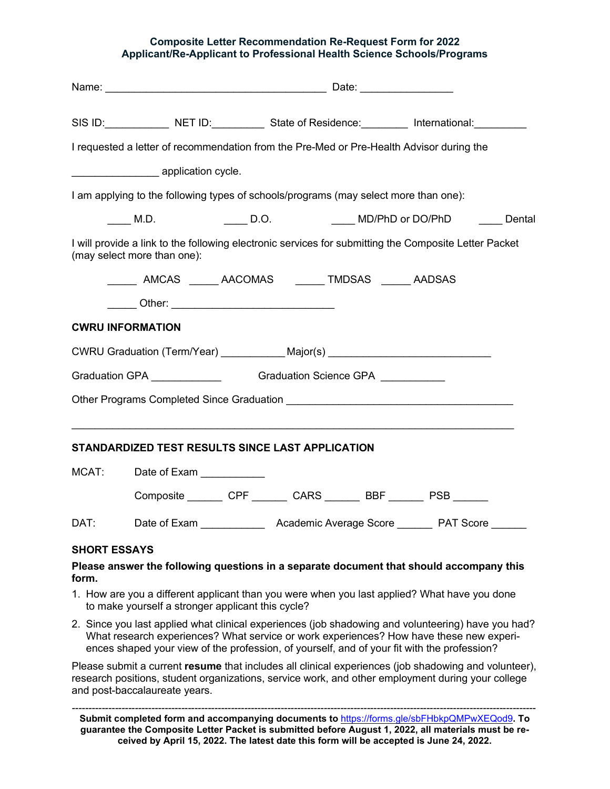## **Composite Letter Recommendation Re-Request Form for 2022 Applicant/Re-Applicant to Professional Health Science Schools/Programs**

|                                                                             |                                                                                                                                      |  | SIS ID: NET ID: State of Residence: International: |  |                                    |  |  |
|-----------------------------------------------------------------------------|--------------------------------------------------------------------------------------------------------------------------------------|--|----------------------------------------------------|--|------------------------------------|--|--|
|                                                                             | I requested a letter of recommendation from the Pre-Med or Pre-Health Advisor during the                                             |  |                                                    |  |                                    |  |  |
|                                                                             |                                                                                                                                      |  |                                                    |  |                                    |  |  |
|                                                                             | I am applying to the following types of schools/programs (may select more than one):                                                 |  |                                                    |  |                                    |  |  |
|                                                                             | M.D.                                                                                                                                 |  |                                                    |  | D.O. MD/PhD or DO/PhD _____ Dental |  |  |
|                                                                             | I will provide a link to the following electronic services for submitting the Composite Letter Packet<br>(may select more than one): |  |                                                    |  |                                    |  |  |
|                                                                             | AMCAS AACOMAS TMDSAS AADSAS                                                                                                          |  |                                                    |  |                                    |  |  |
|                                                                             | ______ Other: ___________________________________                                                                                    |  |                                                    |  |                                    |  |  |
|                                                                             | <b>CWRU INFORMATION</b>                                                                                                              |  |                                                    |  |                                    |  |  |
|                                                                             | CWRU Graduation (Term/Year) ____________Major(s) _______________________________                                                     |  |                                                    |  |                                    |  |  |
| Graduation GPA ________________________Graduation Science GPA _____________ |                                                                                                                                      |  |                                                    |  |                                    |  |  |
|                                                                             | Other Programs Completed Since Graduation <b>Company of the Company of Science Company</b>                                           |  |                                                    |  |                                    |  |  |
|                                                                             | STANDARDIZED TEST RESULTS SINCE LAST APPLICATION                                                                                     |  |                                                    |  |                                    |  |  |
| MCAT:                                                                       | Date of Exam __________                                                                                                              |  |                                                    |  |                                    |  |  |
|                                                                             | Composite _________ CPF ________ CARS ________ BBF _______ PSB _______                                                               |  |                                                    |  |                                    |  |  |
| DAT:                                                                        |                                                                                                                                      |  |                                                    |  |                                    |  |  |
| <b>SHORT ESSAYS</b>                                                         |                                                                                                                                      |  |                                                    |  |                                    |  |  |

## **Please answer the following questions in a separate document that should accompany this form.**

- 1. How are you a different applicant than you were when you last applied? What have you done to make yourself a stronger applicant this cycle?
- 2. Since you last applied what clinical experiences (job shadowing and volunteering) have you had? What research experiences? What service or work experiences? How have these new experiences shaped your view of the profession, of yourself, and of your fit with the profession?

Please submit a current **resume** that includes all clinical experiences (job shadowing and volunteer), research positions, student organizations, service work, and other employment during your college and post-baccalaureate years.

*--------------------------------------------------------------------------------------------------------------------------------------------* **Submit completed form and accompanying documents to** <https://forms.gle/sbFHbkpQMPwXEQod9>**. To guarantee the Composite Letter Packet is submitted before August 1, 2022, all materials must be received by April 15, 2022. The latest date this form will be accepted is June 24, 2022.**